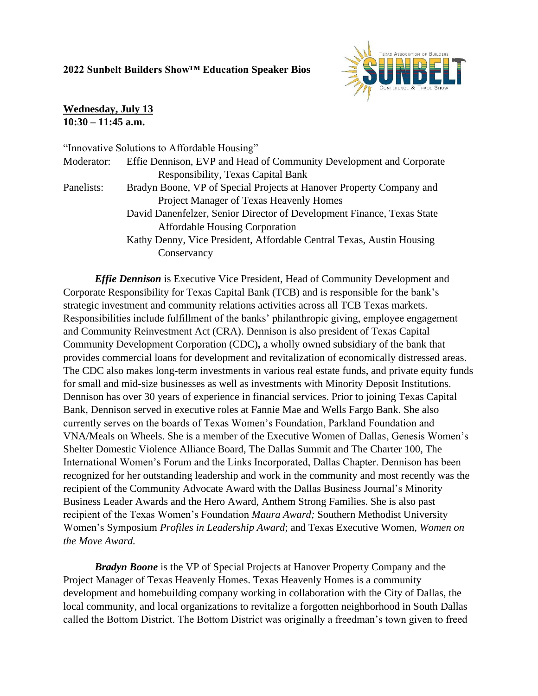## **2022 Sunbelt Builders Show™ Education Speaker Bios**



## **Wednesday, July 13 10:30 – 11:45 a.m.**

|            | "Innovative Solutions to Affordable Housing"                           |
|------------|------------------------------------------------------------------------|
| Moderator: | Effie Dennison, EVP and Head of Community Development and Corporate    |
|            | <b>Responsibility, Texas Capital Bank</b>                              |
| Panelists: | Bradyn Boone, VP of Special Projects at Hanover Property Company and   |
|            | Project Manager of Texas Heavenly Homes                                |
|            | David Danenfelzer, Senior Director of Development Finance, Texas State |
|            | <b>Affordable Housing Corporation</b>                                  |
|            | Kathy Denny, Vice President, Affordable Central Texas, Austin Housing  |
|            | Conservancy                                                            |
|            |                                                                        |

*Effie Dennison* is Executive Vice President, Head of Community Development and Corporate Responsibility for Texas Capital Bank (TCB) and is responsible for the bank's strategic investment and community relations activities across all TCB Texas markets. Responsibilities include fulfillment of the banks' philanthropic giving, employee engagement and Community Reinvestment Act (CRA). Dennison is also president of Texas Capital Community Development Corporation (CDC)**,** a wholly owned subsidiary of the bank that provides commercial loans for development and revitalization of economically distressed areas. The CDC also makes long-term investments in various real estate funds, and private equity funds for small and mid-size businesses as well as investments with Minority Deposit Institutions. Dennison has over 30 years of experience in financial services. Prior to joining Texas Capital Bank, Dennison served in executive roles at Fannie Mae and Wells Fargo Bank. She also currently serves on the boards of Texas Women's Foundation, Parkland Foundation and VNA/Meals on Wheels. She is a member of the Executive Women of Dallas, Genesis Women's Shelter Domestic Violence Alliance Board, The Dallas Summit and The Charter 100, The International Women's Forum and the Links Incorporated, Dallas Chapter. Dennison has been recognized for her outstanding leadership and work in the community and most recently was the recipient of the Community Advocate Award with the Dallas Business Journal's Minority Business Leader Awards and the Hero Award, Anthem Strong Families. She is also past recipient of the Texas Women's Foundation *Maura Award;* Southern Methodist University Women's Symposium *Profiles in Leadership Award*; and Texas Executive Women, *Women on the Move Award.*

*Bradyn Boone* is the VP of Special Projects at Hanover Property Company and the Project Manager of Texas Heavenly Homes. Texas Heavenly Homes is a community development and homebuilding company working in collaboration with the City of Dallas, the local community, and local organizations to revitalize a forgotten neighborhood in South Dallas called the Bottom District. The Bottom District was originally a freedman's town given to freed